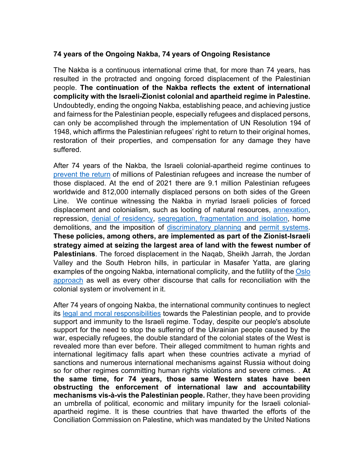## **74 years of the Ongoing Nakba, 74 years of Ongoing Resistance**

The Nakba is a continuous international crime that, for more than 74 years, has resulted in the protracted and ongoing forced displacement of the Palestinian people. **The continuation of the Nakba reflects the extent of international complicity with the Israeli-Zionist colonial and apartheid regime in Palestine.** Undoubtedly, ending the ongoing Nakba, establishing peace, and achieving justice and fairness for the Palestinian people, especially refugees and displaced persons, can only be accomplished through the implementation of UN Resolution 194 of 1948, which affirms the Palestinian refugees' right to return to their original homes, restoration of their properties, and compensation for any damage they have suffered.

After 74 years of the Nakba, the Israeli colonial-apartheid regime continues to prevent the return of millions of Palestinian refugees and increase the number of those displaced. At the end of 2021 there are 9.1 million Palestinian refugees worldwide and 812,000 internally displaced persons on both sides of the Green Line. We continue witnessing the Nakba in myriad Israeli policies of forced displacement and colonialism, such as looting of natural resources, annexation, repression, denial of residency, segregation, fragmentation and isolation, home demolitions, and the imposition of discriminatory planning and permit systems. **These policies, among others, are implemented as part of the Zionist-Israeli strategy aimed at seizing the largest area of land with the fewest number of Palestinians**. The forced displacement in the Naqab, Sheikh Jarrah, the Jordan Valley and the South Hebron hills, in particular in Masafer Yatta, are glaring examples of the ongoing Nakba, international complicity, and the futility of the Oslo approach as well as every other discourse that calls for reconciliation with the colonial system or involvement in it.

After 74 years of ongoing Nakba, the international community continues to neglect its legal and moral responsibilities towards the Palestinian people, and to provide support and immunity to the Israeli regime. Today, despite our people's absolute support for the need to stop the suffering of the Ukrainian people caused by the war, especially refugees, the double standard of the colonial states of the West is revealed more than ever before. Their alleged commitment to human rights and international legitimacy falls apart when these countries activate a myriad of sanctions and numerous international mechanisms against Russia without doing so for other regimes committing human rights violations and severe crimes. . **At the same time, for 74 years, those same Western states have been obstructing the enforcement of international law and accountability mechanisms vis-à-vis the Palestinian people.** Rather, they have been providing an umbrella of political, economic and military impunity for the Israeli colonialapartheid regime. It is these countries that have thwarted the efforts of the Conciliation Commission on Palestine, which was mandated by the United Nations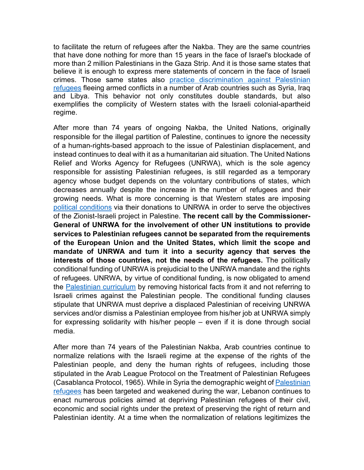to facilitate the return of refugees after the Nakba. They are the same countries that have done nothing for more than 15 years in the face of Israel's blockade of more than 2 million Palestinians in the Gaza Strip. And it is those same states that believe it is enough to express mere statements of concern in the face of Israeli crimes. Those same states also practice discrimination against Palestinian refugees fleeing armed conflicts in a number of Arab countries such as Syria, Iraq and Libya. This behavior not only constitutes double standards, but also exemplifies the complicity of Western states with the Israeli colonial-apartheid regime.

After more than 74 years of ongoing Nakba, the United Nations, originally responsible for the illegal partition of Palestine, continues to ignore the necessity of a human-rights-based approach to the issue of Palestinian displacement, and instead continues to deal with it as a humanitarian aid situation. The United Nations Relief and Works Agency for Refugees (UNRWA), which is the sole agency responsible for assisting Palestinian refugees, is still regarded as a temporary agency whose budget depends on the voluntary contributions of states, which decreases annually despite the increase in the number of refugees and their growing needs. What is more concerning is that Western states are imposing political conditions via their donations to UNRWA in order to serve the objectives of the Zionist-Israeli project in Palestine. **The recent call by the Commissioner-General of UNRWA for the involvement of other UN institutions to provide services to Palestinian refugees cannot be separated from the requirements of the European Union and the United States, which limit the scope and mandate of UNRWA and turn it into a security agency that serves the interests of those countries, not the needs of the refugees.** The politically conditional funding of UNRWA is prejudicial to the UNRWA mandate and the rights of refugees. UNRWA, by virtue of conditional funding, is now obligated to amend the Palestinian curriculum by removing historical facts from it and not referring to Israeli crimes against the Palestinian people. The conditional funding clauses stipulate that UNRWA must deprive a displaced Palestinian of receiving UNRWA services and/or dismiss a Palestinian employee from his/her job at UNRWA simply for expressing solidarity with his/her people – even if it is done through social media.

After more than 74 years of the Palestinian Nakba, Arab countries continue to normalize relations with the Israeli regime at the expense of the rights of the Palestinian people, and deny the human rights of refugees, including those stipulated in the Arab League Protocol on the Treatment of Palestinian Refugees (Casablanca Protocol, 1965). While in Syria the demographic weight of Palestinian refugees has been targeted and weakened during the war, Lebanon continues to enact numerous policies aimed at depriving Palestinian refugees of their civil, economic and social rights under the pretext of preserving the right of return and Palestinian identity. At a time when the normalization of relations legitimizes the